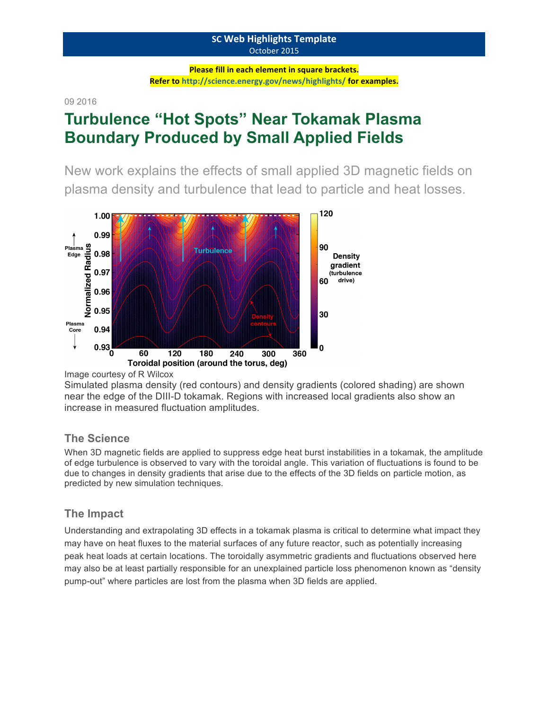#### **SC Web Highlights Template** October 2015

**Please fill in each element in square brackets.** Refer to http://science.energy.gov/news/highlights/ for examples.

09 2016

# **Turbulence "Hot Spots" Near Tokamak Plasma Boundary Produced by Small Applied Fields**

New work explains the effects of small applied 3D magnetic fields on plasma density and turbulence that lead to particle and heat losses.



Image courtesy of R Wilcox

Simulated plasma density (red contours) and density gradients (colored shading) are shown near the edge of the DIII-D tokamak. Regions with increased local gradients also show an increase in measured fluctuation amplitudes.

### **The Science**

When 3D magnetic fields are applied to suppress edge heat burst instabilities in a tokamak, the amplitude of edge turbulence is observed to vary with the toroidal angle. This variation of fluctuations is found to be due to changes in density gradients that arise due to the effects of the 3D fields on particle motion, as predicted by new simulation techniques.

## **The Impact**

Understanding and extrapolating 3D effects in a tokamak plasma is critical to determine what impact they may have on heat fluxes to the material surfaces of any future reactor, such as potentially increasing peak heat loads at certain locations. The toroidally asymmetric gradients and fluctuations observed here may also be at least partially responsible for an unexplained particle loss phenomenon known as "density pump-out" where particles are lost from the plasma when 3D fields are applied.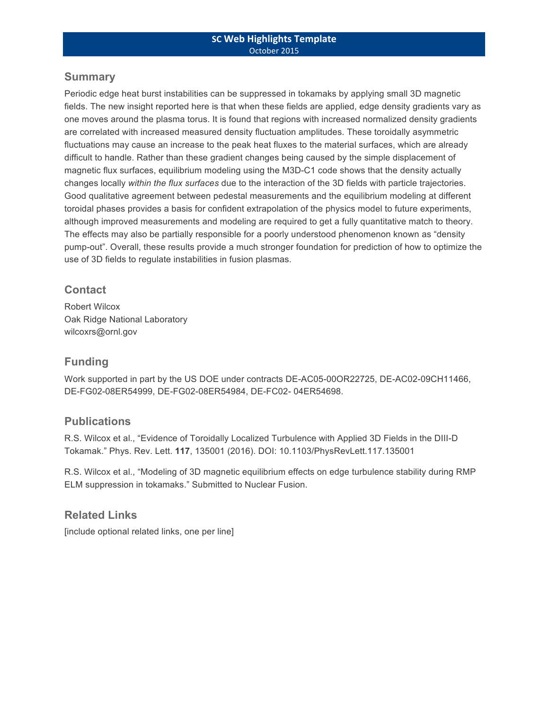#### **Summary**

Periodic edge heat burst instabilities can be suppressed in tokamaks by applying small 3D magnetic fields. The new insight reported here is that when these fields are applied, edge density gradients vary as one moves around the plasma torus. It is found that regions with increased normalized density gradients are correlated with increased measured density fluctuation amplitudes. These toroidally asymmetric fluctuations may cause an increase to the peak heat fluxes to the material surfaces, which are already difficult to handle. Rather than these gradient changes being caused by the simple displacement of magnetic flux surfaces, equilibrium modeling using the M3D-C1 code shows that the density actually changes locally *within the flux surfaces* due to the interaction of the 3D fields with particle trajectories. Good qualitative agreement between pedestal measurements and the equilibrium modeling at different toroidal phases provides a basis for confident extrapolation of the physics model to future experiments, although improved measurements and modeling are required to get a fully quantitative match to theory. The effects may also be partially responsible for a poorly understood phenomenon known as "density pump-out". Overall, these results provide a much stronger foundation for prediction of how to optimize the use of 3D fields to regulate instabilities in fusion plasmas.

#### **Contact**

Robert Wilcox Oak Ridge National Laboratory wilcoxrs@ornl.gov

#### **Funding**

Work supported in part by the US DOE under contracts DE-AC05-00OR22725, DE-AC02-09CH11466, DE-FG02-08ER54999, DE-FG02-08ER54984, DE-FC02- 04ER54698.

#### **Publications**

R.S. Wilcox et al., "Evidence of Toroidally Localized Turbulence with Applied 3D Fields in the DIII-D Tokamak." Phys. Rev. Lett. **117**, 135001 (2016). DOI: 10.1103/PhysRevLett.117.135001

R.S. Wilcox et al., "Modeling of 3D magnetic equilibrium effects on edge turbulence stability during RMP ELM suppression in tokamaks." Submitted to Nuclear Fusion.

#### **Related Links**

[include optional related links, one per line]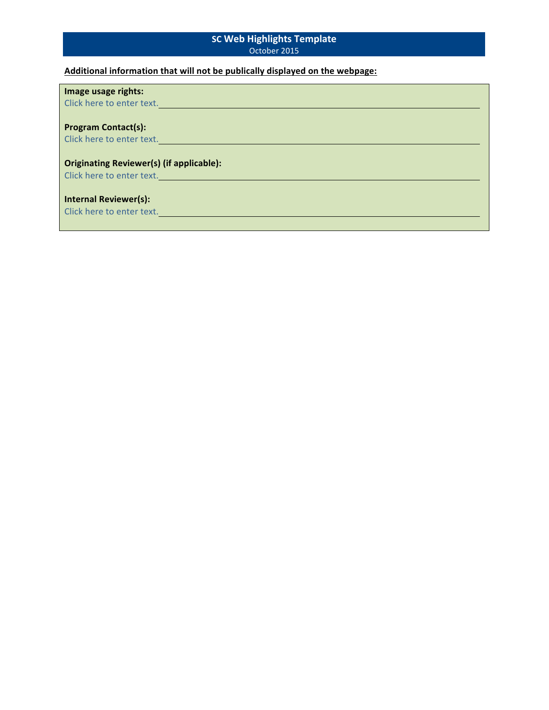#### **SC Web Highlights Template** October 2015

## **Additional information that will not be publically displayed on the webpage:**

| Image usage rights:<br>Click here to enter text.                             |
|------------------------------------------------------------------------------|
| <b>Program Contact(s):</b>                                                   |
| Click here to enter text.                                                    |
| <b>Originating Reviewer(s) (if applicable):</b><br>Click here to enter text. |
| <b>Internal Reviewer(s):</b><br>Click here to enter text.                    |